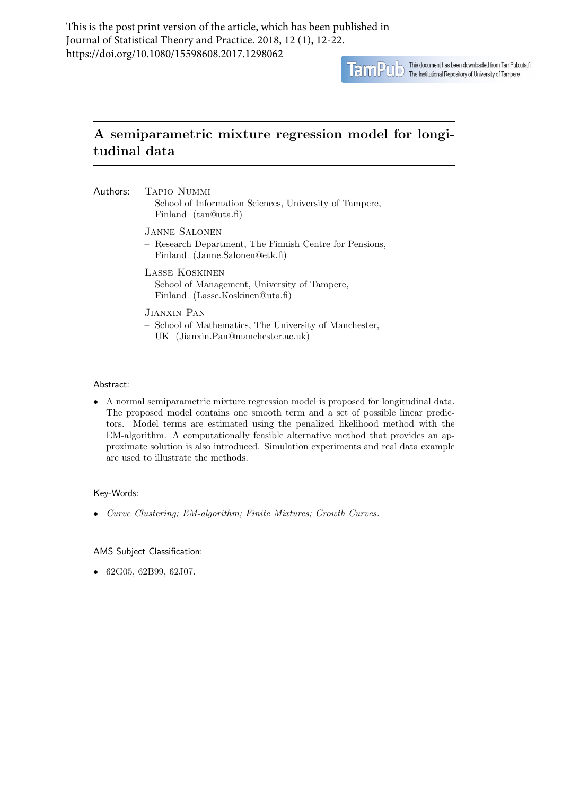**TamP** 

This document has been downloaded from TamPub.uta.fi The Institutional Repository of University of Tampere

# A semiparametric mixture regression model for longitudinal data

## Authors: Tapio Nummi

- School of Information Sciences, University of Tampere, Finland (tan@uta.fi)
- Janne Salonen
- Research Department, The Finnish Centre for Pensions, Finland (Janne.Salonen@etk.fi)
- Lasse Koskinen
- School of Management, University of Tampere, Finland (Lasse.Koskinen@uta.fi)
- Jianxin Pan
- School of Mathematics, The University of Manchester, UK (Jianxin.Pan@manchester.ac.uk)

#### Abstract:

• A normal semiparametric mixture regression model is proposed for longitudinal data. The proposed model contains one smooth term and a set of possible linear predictors. Model terms are estimated using the penalized likelihood method with the EM-algorithm. A computationally feasible alternative method that provides an approximate solution is also introduced. Simulation experiments and real data example are used to illustrate the methods.

#### Key-Words:

• Curve Clustering; EM-algorithm; Finite Mixtures; Growth Curves.

## AMS Subject Classification:

• 62G05, 62B99, 62J07.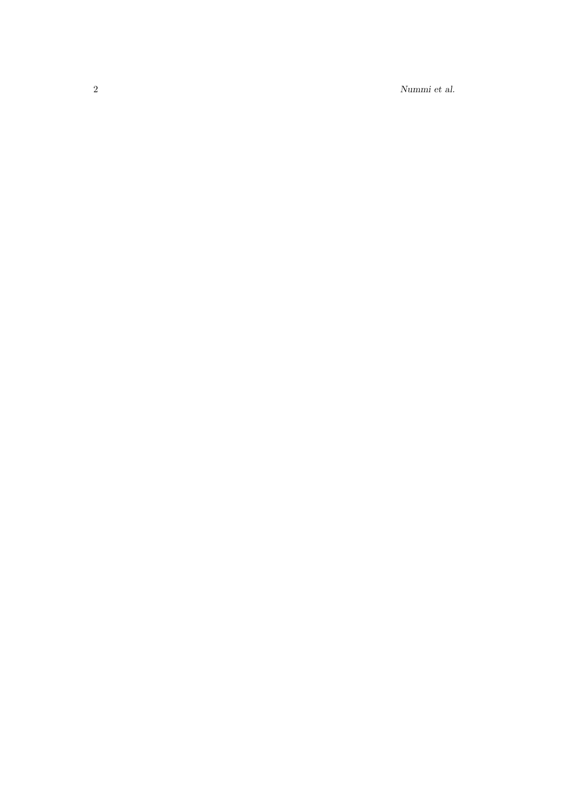Nummi et al.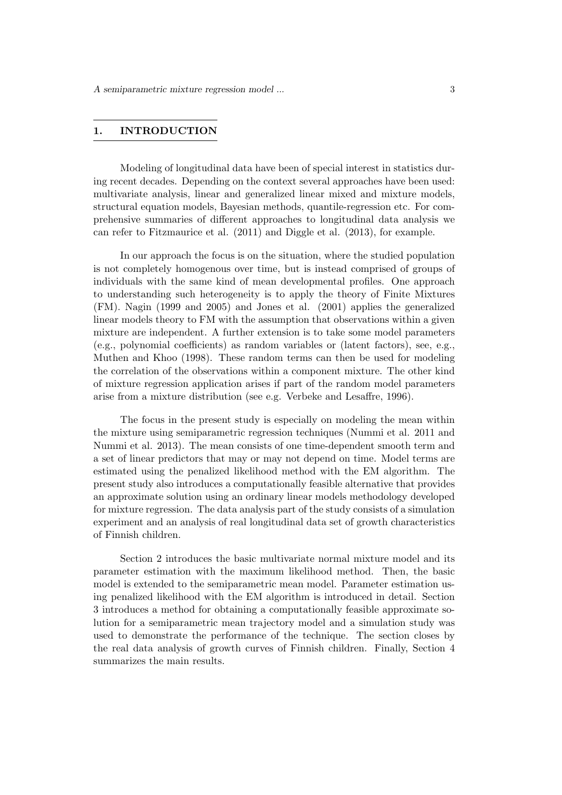## 1. INTRODUCTION

Modeling of longitudinal data have been of special interest in statistics during recent decades. Depending on the context several approaches have been used: multivariate analysis, linear and generalized linear mixed and mixture models, structural equation models, Bayesian methods, quantile-regression etc. For comprehensive summaries of different approaches to longitudinal data analysis we can refer to Fitzmaurice et al. (2011) and Diggle et al. (2013), for example.

In our approach the focus is on the situation, where the studied population is not completely homogenous over time, but is instead comprised of groups of individuals with the same kind of mean developmental profiles. One approach to understanding such heterogeneity is to apply the theory of Finite Mixtures (FM). Nagin (1999 and 2005) and Jones et al. (2001) applies the generalized linear models theory to FM with the assumption that observations within a given mixture are independent. A further extension is to take some model parameters (e.g., polynomial coefficients) as random variables or (latent factors), see, e.g., Muthen and Khoo (1998). These random terms can then be used for modeling the correlation of the observations within a component mixture. The other kind of mixture regression application arises if part of the random model parameters arise from a mixture distribution (see e.g. Verbeke and Lesaffre, 1996).

The focus in the present study is especially on modeling the mean within the mixture using semiparametric regression techniques (Nummi et al. 2011 and Nummi et al. 2013). The mean consists of one time-dependent smooth term and a set of linear predictors that may or may not depend on time. Model terms are estimated using the penalized likelihood method with the EM algorithm. The present study also introduces a computationally feasible alternative that provides an approximate solution using an ordinary linear models methodology developed for mixture regression. The data analysis part of the study consists of a simulation experiment and an analysis of real longitudinal data set of growth characteristics of Finnish children.

Section 2 introduces the basic multivariate normal mixture model and its parameter estimation with the maximum likelihood method. Then, the basic model is extended to the semiparametric mean model. Parameter estimation using penalized likelihood with the EM algorithm is introduced in detail. Section 3 introduces a method for obtaining a computationally feasible approximate solution for a semiparametric mean trajectory model and a simulation study was used to demonstrate the performance of the technique. The section closes by the real data analysis of growth curves of Finnish children. Finally, Section 4 summarizes the main results.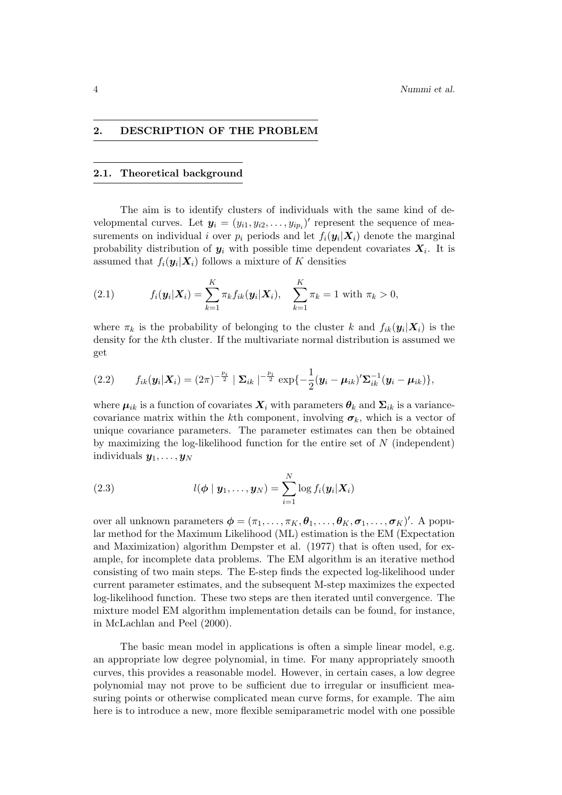## 2. DESCRIPTION OF THE PROBLEM

#### 2.1. Theoretical background

The aim is to identify clusters of individuals with the same kind of developmental curves. Let  $y_i = (y_{i1}, y_{i2}, \ldots, y_{ip_i})'$  represent the sequence of measurements on individual i over  $p_i$  periods and let  $f_i(\mathbf{y}_i|\mathbf{X}_i)$  denote the marginal probability distribution of  $y_i$  with possible time dependent covariates  $X_i$ . It is assumed that  $f_i(\mathbf{y}_i|\mathbf{X}_i)$  follows a mixture of K densities

(2.1) 
$$
f_i(\boldsymbol{y}_i|\boldsymbol{X}_i)=\sum_{k=1}^K \pi_k f_{ik}(\boldsymbol{y}_i|\boldsymbol{X}_i), \quad \sum_{k=1}^K \pi_k=1 \text{ with } \pi_k > 0,
$$

where  $\pi_k$  is the probability of belonging to the cluster k and  $f_{ik}(\mathbf{y}_i|\mathbf{X}_i)$  is the density for the kth cluster. If the multivariate normal distribution is assumed we get

(2.2) 
$$
f_{ik}(\mathbf{y}_i|\mathbf{X}_i)=(2\pi)^{-\frac{p_i}{2}}|\mathbf{\Sigma}_{ik}|^{-\frac{p_i}{2}}\exp\{-\frac{1}{2}(\mathbf{y}_i-\boldsymbol{\mu}_{ik})'\mathbf{\Sigma}_{ik}^{-1}(\mathbf{y}_i-\boldsymbol{\mu}_{ik})\},
$$

where  $\mu_{ik}$  is a function of covariates  $X_i$  with parameters  $\theta_k$  and  $\Sigma_{ik}$  is a variancecovariance matrix within the kth component, involving  $\sigma_k$ , which is a vector of unique covariance parameters. The parameter estimates can then be obtained by maximizing the log-likelihood function for the entire set of  $N$  (independent) individuals  $y_1, \ldots, y_N$ 

(2.3) 
$$
l(\boldsymbol{\phi} \mid \boldsymbol{y}_1, \dots, \boldsymbol{y}_N) = \sum_{i=1}^N \log f_i(\boldsymbol{y}_i | \boldsymbol{X}_i)
$$

over all unknown parameters  $\boldsymbol{\phi} = (\pi_1, \dots, \pi_K, \boldsymbol{\theta}_1, \dots, \boldsymbol{\theta}_K, \boldsymbol{\sigma}_1, \dots, \boldsymbol{\sigma}_K)'$ . A popular method for the Maximum Likelihood (ML) estimation is the EM (Expectation and Maximization) algorithm Dempster et al. (1977) that is often used, for example, for incomplete data problems. The EM algorithm is an iterative method consisting of two main steps. The E-step finds the expected log-likelihood under current parameter estimates, and the subsequent M-step maximizes the expected log-likelihood function. These two steps are then iterated until convergence. The mixture model EM algorithm implementation details can be found, for instance, in McLachlan and Peel (2000).

The basic mean model in applications is often a simple linear model, e.g. an appropriate low degree polynomial, in time. For many appropriately smooth curves, this provides a reasonable model. However, in certain cases, a low degree polynomial may not prove to be sufficient due to irregular or insufficient measuring points or otherwise complicated mean curve forms, for example. The aim here is to introduce a new, more flexible semiparametric model with one possible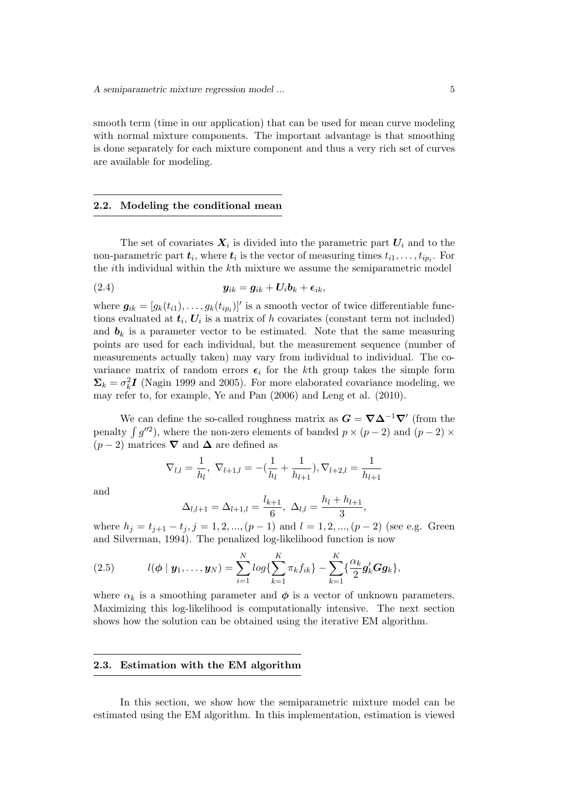smooth term (time in our application) that can be used for mean curve modeling with normal mixture components. The important advantage is that smoothing is done separately for each mixture component and thus a very rich set of curves are available for modeling.

#### 2.2. Modeling the conditional mean

The set of covariates  $X_i$  is divided into the parametric part  $U_i$  and to the non-parametric part  $t_i$ , where  $t_i$  is the vector of measuring times  $t_{i1}, \ldots, t_{ip_i}$ . For the ith individual within the kth mixture we assume the semiparametric model

(2.4) yik = gik + Uib<sup>k</sup> + ǫik,

where  $g_{ik} = [g_k(t_{i1}), \ldots, g_k(t_{ip_i})]'$  is a smooth vector of twice differentiable functions evaluated at  $t_i$ ,  $U_i$  is a matrix of h covariates (constant term not included) and  $\mathbf{b}_k$  is a parameter vector to be estimated. Note that the same measuring points are used for each individual, but the measurement sequence (number of measurements actually taken) may vary from individual to individual. The covariance matrix of random errors  $\epsilon_i$  for the kth group takes the simple form  $\mathbf{\Sigma}_k = \sigma_k^2$  $k<sup>2</sup>I$  (Nagin 1999 and 2005). For more elaborated covariance modeling, we may refer to, for example, Ye and Pan (2006) and Leng et al. (2010).

We can define the so-called roughness matrix as  $G = \nabla \Delta^{-1} \nabla'$  (from the penalty  $\int g''^2$ , where the non-zero elements of banded  $p \times (p-2)$  and  $(p-2) \times$  $(p-2)$  matrices  $\nabla$  and  $\Delta$  are defined as

$$
\nabla_{l,l} = \frac{1}{h_l}, \ \nabla_{l+1,l} = -(\frac{1}{h_l} + \frac{1}{h_{l+1}}), \nabla_{l+2,l} = \frac{1}{h_{l+1}}
$$

and

$$
\Delta_{l,l+1} = \Delta_{l+1,l} = \frac{l_{k+1}}{6}, \ \Delta_{l,l} = \frac{h_l + h_{l+1}}{3},
$$

where  $h_j = t_{j+1} - t_j$ ,  $j = 1, 2, ..., (p-1)$  and  $l = 1, 2, ..., (p-2)$  (see e.g. Green and Silverman, 1994). The penalized log-likelihood function is now

(2.5) 
$$
l(\phi \mid \bm{y}_1, \ldots, \bm{y}_N) = \sum_{i=1}^N log\{\sum_{k=1}^K \pi_k f_{ik}\} - \sum_{k=1}^K \{\frac{\alpha_k}{2} \bm{g}_k' \bm{G} \bm{g}_k\},
$$

where  $\alpha_k$  is a smoothing parameter and  $\phi$  is a vector of unknown parameters. Maximizing this log-likelihood is computationally intensive. The next section shows how the solution can be obtained using the iterative EM algorithm.

#### 2.3. Estimation with the EM algorithm

In this section, we show how the semiparametric mixture model can be estimated using the EM algorithm. In this implementation, estimation is viewed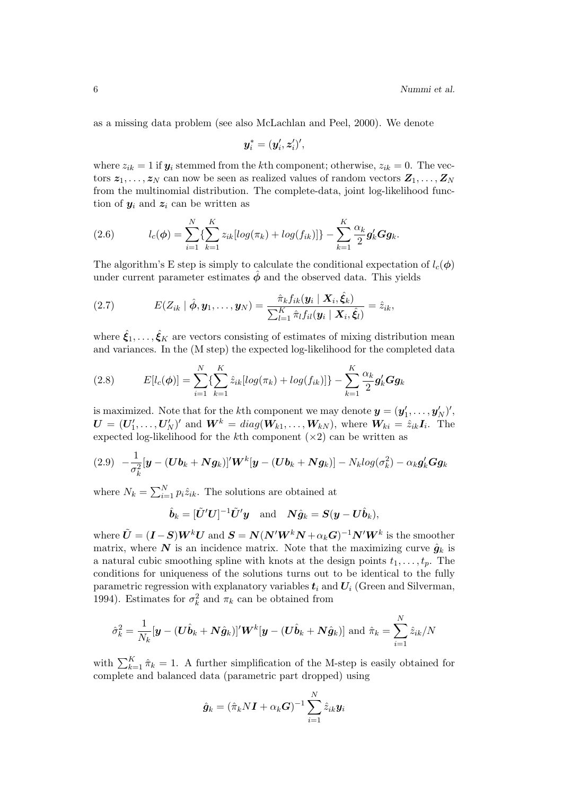as a missing data problem (see also McLachlan and Peel, 2000). We denote

$$
\boldsymbol{y}_i^* = (\boldsymbol{y}_i', \boldsymbol{z}_i')',
$$

where  $z_{ik} = 1$  if  $y_i$  stemmed from the kth component; otherwise,  $z_{ik} = 0$ . The vectors  $z_1, \ldots, z_N$  can now be seen as realized values of random vectors  $Z_1, \ldots, Z_N$ from the multinomial distribution. The complete-data, joint log-likelihood function of  $y_i$  and  $z_i$  can be written as

(2.6) 
$$
l_c(\phi) = \sum_{i=1}^N \{ \sum_{k=1}^K z_{ik} [log(\pi_k) + log(f_{ik})] \} - \sum_{k=1}^K \frac{\alpha_k}{2} \mathbf{g}'_k \mathbf{G} \mathbf{g}_k.
$$

The algorithm's E step is simply to calculate the conditional expectation of  $l_c(\phi)$ under current parameter estimates  $\hat{\phi}$  and the observed data. This yields

(2.7) 
$$
E(Z_{ik} | \hat{\boldsymbol{\phi}}, \boldsymbol{y}_1, \dots, \boldsymbol{y}_N) = \frac{\hat{\pi}_k f_{ik}(\boldsymbol{y}_i | \boldsymbol{X}_i, \hat{\boldsymbol{\xi}}_k)}{\sum_{l=1}^K \hat{\pi}_l f_{il}(\boldsymbol{y}_i | \boldsymbol{X}_i, \hat{\boldsymbol{\xi}}_l)} = \hat{z}_{ik},
$$

where  $\hat{\xi}_1, \ldots, \hat{\xi}_K$  are vectors consisting of estimates of mixing distribution mean and variances. In the (M step) the expected log-likelihood for the completed data

(2.8) 
$$
E[l_c(\phi)] = \sum_{i=1}^{N} \{ \sum_{k=1}^{K} \hat{z}_{ik} [log(\pi_k) + log(f_{ik})] \} - \sum_{k=1}^{K} \frac{\alpha_k}{2} \mathbf{g}'_k \mathbf{G} \mathbf{g}_k
$$

is maximized. Note that for the k<sup>th</sup> component we may denote  $y = (y'_1, \ldots, y'_N)'$ ,  $\bm{U} = (\bm{U}_1', \ldots, \bm{U}_N')'$  and  $\bm{W}^k = diag(\hat{\bm{W}_{k1}}, \ldots, \bm{W}_{kN})$ , where  $\hat{\bm{W}}_{ki} = \hat{z}_{ik}\bm{I}_i$ . The expected log-likelihood for the kth component  $(x2)$  can be written as

$$
(2.9) \quad -\frac{1}{\sigma_k^2} [\boldsymbol{y} - (\boldsymbol{U}\boldsymbol{b}_k + \boldsymbol{N}\boldsymbol{g}_k)]' \boldsymbol{W}^k [\boldsymbol{y} - (\boldsymbol{U}\boldsymbol{b}_k + \boldsymbol{N}\boldsymbol{g}_k)] - N_k log(\sigma_k^2) - \alpha_k \boldsymbol{g}_k' \boldsymbol{G} \boldsymbol{g}_k
$$

where  $N_k = \sum_{i=1}^N p_i \hat{z}_{ik}$ . The solutions are obtained at

$$
\hat{\boldsymbol{b}}_k = [\tilde{\boldsymbol{U}}' \boldsymbol{U}]^{-1} \tilde{\boldsymbol{U}}' \boldsymbol{y}
$$
 and  $\boldsymbol{N} \hat{\boldsymbol{g}}_k = \boldsymbol{S} (\boldsymbol{y} - \boldsymbol{U} \hat{\boldsymbol{b}}_k),$ 

where  $\tilde{\bm U} = (\bm I - \bm S) \bm W^k \bm U$  and  $\bm S = \bm N (\bm N' \bm W^k \bm N + \alpha_k \bm G)^{-1} \bm N' \bm W^k$  is the smoother matrix, where N is an incidence matrix. Note that the maximizing curve  $\hat{g}_k$  is a natural cubic smoothing spline with knots at the design points  $t_1, \ldots, t_p$ . The conditions for uniqueness of the solutions turns out to be identical to the fully parametric regression with explanatory variables  $t_i$  and  $U_i$  (Green and Silverman, 1994). Estimates for  $\sigma_k^2$  $\frac{2}{k}$  and  $\pi_k$  can be obtained from

$$
\hat{\sigma}_k^2 = \frac{1}{N_k} [\boldsymbol{y} - (\boldsymbol{U}\hat{\boldsymbol{b}}_k + \boldsymbol{N}\hat{\boldsymbol{g}}_k)]'\boldsymbol{W}^k [\boldsymbol{y} - (\boldsymbol{U}\hat{\boldsymbol{b}}_k + \boldsymbol{N}\hat{\boldsymbol{g}}_k)] \text{ and } \hat{\pi}_k = \sum_{i=1}^N \hat{z}_{ik}/N
$$

with  $\sum_{k=1}^{K} \hat{\pi}_k = 1$ . A further simplification of the M-step is easily obtained for complete and balanced data (parametric part dropped) using

$$
\hat{\boldsymbol{g}}_k = (\hat{\pi}_k N \boldsymbol{I} + \alpha_k \boldsymbol{G})^{-1} \sum_{i=1}^N \hat{z}_{ik} \boldsymbol{y}_i
$$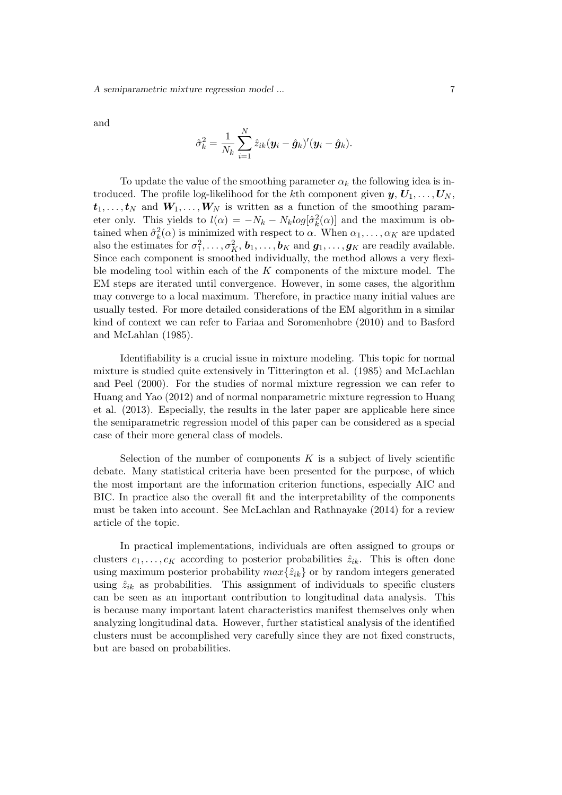and

$$
\hat{\sigma}_k^2 = \frac{1}{N_k} \sum_{i=1}^N \hat{z}_{ik} (\boldsymbol{y}_i - \hat{\boldsymbol{g}}_k)' (\boldsymbol{y}_i - \hat{\boldsymbol{g}}_k).
$$

To update the value of the smoothing parameter  $\alpha_k$  the following idea is introduced. The profile log-likelihood for the kth component given  $y, U_1, \ldots, U_N$ ,  $t_1, \ldots, t_N$  and  $W_1, \ldots, W_N$  is written as a function of the smoothing parameter only. This yields to  $l(\alpha) = -N_k - N_k log[\hat{\sigma}_k^2]$  $\frac{2}{k}(\alpha)$  and the maximum is obtained when  $\hat{\sigma}_k^2$  $k(\alpha)$  is minimized with respect to  $\alpha$ . When  $\alpha_1, \ldots, \alpha_K$  are updated also the estimates for  $\sigma_1^2, \ldots, \sigma_K^2, b_1, \ldots, b_K$  and  $g_1, \ldots, g_K$  are readily available. Since each component is smoothed individually, the method allows a very flexible modeling tool within each of the  $K$  components of the mixture model. The EM steps are iterated until convergence. However, in some cases, the algorithm may converge to a local maximum. Therefore, in practice many initial values are usually tested. For more detailed considerations of the EM algorithm in a similar kind of context we can refer to Fariaa and Soromenhobre (2010) and to Basford and McLahlan (1985).

Identifiability is a crucial issue in mixture modeling. This topic for normal mixture is studied quite extensively in Titterington et al. (1985) and McLachlan and Peel (2000). For the studies of normal mixture regression we can refer to Huang and Yao (2012) and of normal nonparametric mixture regression to Huang et al. (2013). Especially, the results in the later paper are applicable here since the semiparametric regression model of this paper can be considered as a special case of their more general class of models.

Selection of the number of components  $K$  is a subject of lively scientific debate. Many statistical criteria have been presented for the purpose, of which the most important are the information criterion functions, especially AIC and BIC. In practice also the overall fit and the interpretability of the components must be taken into account. See McLachlan and Rathnayake (2014) for a review article of the topic.

In practical implementations, individuals are often assigned to groups or clusters  $c_1, \ldots, c_K$  according to posterior probabilities  $\hat{z}_{ik}$ . This is often done using maximum posterior probability  $max\{\hat{z}_{ik}\}\$  or by random integers generated using  $\hat{z}_{ik}$  as probabilities. This assignment of individuals to specific clusters can be seen as an important contribution to longitudinal data analysis. This is because many important latent characteristics manifest themselves only when analyzing longitudinal data. However, further statistical analysis of the identified clusters must be accomplished very carefully since they are not fixed constructs, but are based on probabilities.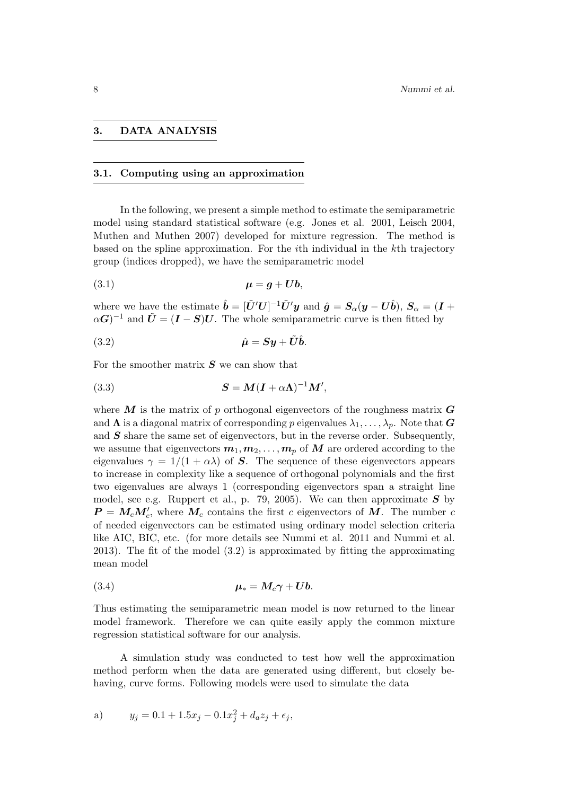## 3. DATA ANALYSIS

#### 3.1. Computing using an approximation

In the following, we present a simple method to estimate the semiparametric model using standard statistical software (e.g. Jones et al. 2001, Leisch 2004, Muthen and Muthen 2007) developed for mixture regression. The method is based on the spline approximation. For the ith individual in the kth trajectory group (indices dropped), we have the semiparametric model

$$
\boldsymbol{\mu} = \boldsymbol{g} + \boldsymbol{U}\boldsymbol{b},
$$

where we have the estimate  $\hat{b} = [\tilde{U}'U]^{-1}\tilde{U}'y$  and  $\hat{g} = S_{\alpha}(y - U\hat{b}), S_{\alpha} = (I +$  $\alpha G$ <sup>-1</sup> and  $\tilde{U} = (I - S)U$ . The whole semiparametric curve is then fitted by

$$
(3.2) \quad \hat{\boldsymbol{\mu}} = \boldsymbol{S} \boldsymbol{y} + \tilde{\boldsymbol{U}} \hat{\boldsymbol{b}}.
$$

For the smoother matrix  $S$  we can show that

(3.3) 
$$
S = M(I + \alpha \Lambda)^{-1} M',
$$

where M is the matrix of p orthogonal eigenvectors of the roughness matrix  $\boldsymbol{G}$ and  $\Lambda$  is a diagonal matrix of corresponding p eigenvalues  $\lambda_1, \ldots, \lambda_p$ . Note that G and  $S$  share the same set of eigenvectors, but in the reverse order. Subsequently, we assume that eigenvectors  $m_1, m_2, \ldots, m_p$  of M are ordered according to the eigenvalues  $\gamma = 1/(1 + \alpha \lambda)$  of S. The sequence of these eigenvectors appears to increase in complexity like a sequence of orthogonal polynomials and the first two eigenvalues are always 1 (corresponding eigenvectors span a straight line model, see e.g. Ruppert et al., p. 79, 2005). We can then approximate  $S$  by  $P = M_c M_c'$ , where  $M_c$  contains the first c eigenvectors of M. The number c of needed eigenvectors can be estimated using ordinary model selection criteria like AIC, BIC, etc. (for more details see Nummi et al. 2011 and Nummi et al. 2013). The fit of the model (3.2) is approximated by fitting the approximating mean model

$$
\mu_* = M_c \gamma + Ub.
$$

Thus estimating the semiparametric mean model is now returned to the linear model framework. Therefore we can quite easily apply the common mixture regression statistical software for our analysis.

A simulation study was conducted to test how well the approximation method perform when the data are generated using different, but closely behaving, curve forms. Following models were used to simulate the data

a) 
$$
y_j = 0.1 + 1.5x_j - 0.1x_j^2 + d_a z_j + \epsilon_j
$$
,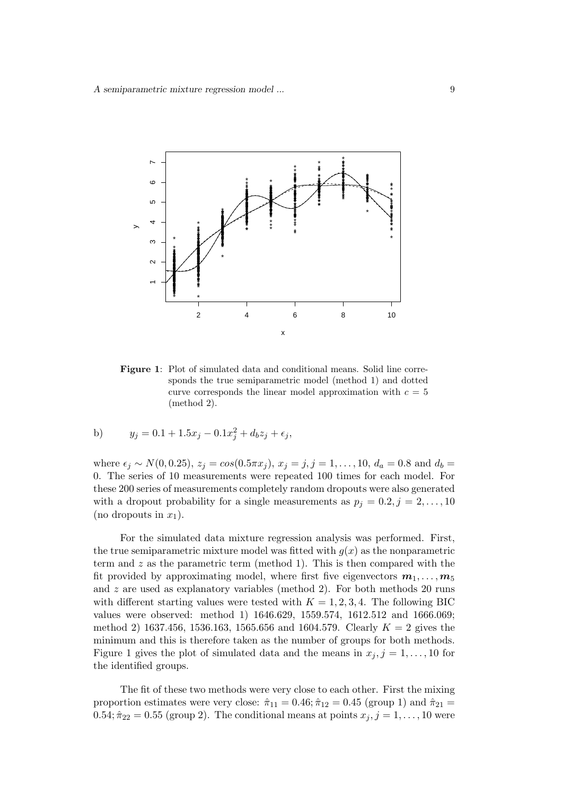

Figure 1: Plot of simulated data and conditional means. Solid line corresponds the true semiparametric model (method 1) and dotted curve corresponds the linear model approximation with  $c = 5$ (method 2).

b) 
$$
y_j = 0.1 + 1.5x_j - 0.1x_j^2 + d_b z_j + \epsilon_j,
$$

where  $\epsilon_j \sim N(0, 0.25)$ ,  $z_j = cos(0.5\pi x_j)$ ,  $x_j = j$ ,  $j = 1, ..., 10$ ,  $d_a = 0.8$  and  $d_b =$ 0. The series of 10 measurements were repeated 100 times for each model. For these 200 series of measurements completely random dropouts were also generated with a dropout probability for a single measurements as  $p_j = 0.2, j = 2, \ldots, 10$ (no dropouts in  $x_1$ ).

For the simulated data mixture regression analysis was performed. First, the true semiparametric mixture model was fitted with  $q(x)$  as the nonparametric term and  $z$  as the parametric term (method 1). This is then compared with the fit provided by approximating model, where first five eigenvectors  $m_1, \ldots, m_5$ and  $z$  are used as explanatory variables (method 2). For both methods 20 runs with different starting values were tested with  $K = 1, 2, 3, 4$ . The following BIC values were observed: method 1) 1646.629, 1559.574, 1612.512 and 1666.069; method 2) 1637.456, 1536.163, 1565.656 and 1604.579. Clearly  $K = 2$  gives the minimum and this is therefore taken as the number of groups for both methods. Figure 1 gives the plot of simulated data and the means in  $x_j$ ,  $j = 1, \ldots, 10$  for the identified groups.

The fit of these two methods were very close to each other. First the mixing proportion estimates were very close:  $\hat{\pi}_{11} = 0.46$ ;  $\hat{\pi}_{12} = 0.45$  (group 1) and  $\hat{\pi}_{21} =$ 0.54;  $\hat{\pi}_{22} = 0.55$  (group 2). The conditional means at points  $x_j$ ,  $j = 1, ..., 10$  were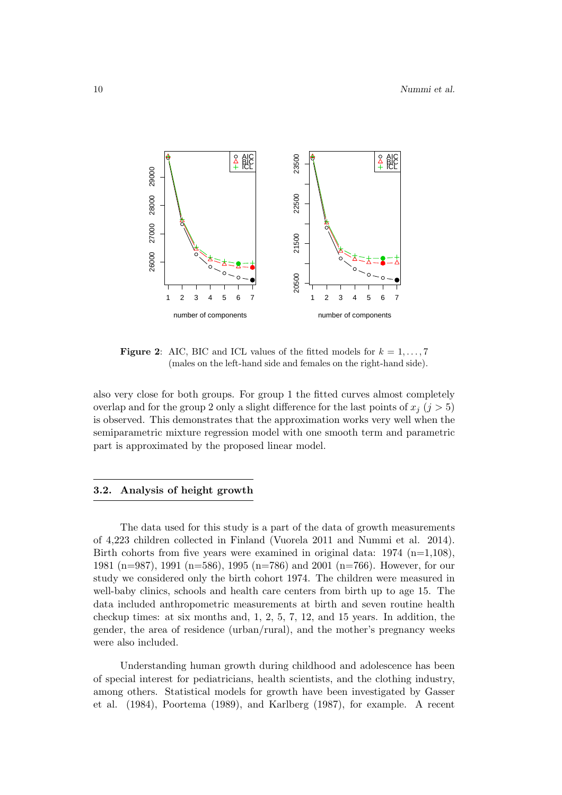

**Figure 2:** AIC, BIC and ICL values of the fitted models for  $k = 1, \ldots, 7$ (males on the left-hand side and females on the right-hand side).

also very close for both groups. For group 1 the fitted curves almost completely overlap and for the group 2 only a slight difference for the last points of  $x_i$  (j > 5) is observed. This demonstrates that the approximation works very well when the semiparametric mixture regression model with one smooth term and parametric part is approximated by the proposed linear model.

### 3.2. Analysis of height growth

The data used for this study is a part of the data of growth measurements of 4,223 children collected in Finland (Vuorela 2011 and Nummi et al. 2014). Birth cohorts from five years were examined in original data:  $1974$  (n=1,108), 1981 (n=987), 1991 (n=586), 1995 (n=786) and 2001 (n=766). However, for our study we considered only the birth cohort 1974. The children were measured in well-baby clinics, schools and health care centers from birth up to age 15. The data included anthropometric measurements at birth and seven routine health checkup times: at six months and, 1, 2, 5, 7, 12, and 15 years. In addition, the gender, the area of residence (urban/rural), and the mother's pregnancy weeks were also included.

Understanding human growth during childhood and adolescence has been of special interest for pediatricians, health scientists, and the clothing industry, among others. Statistical models for growth have been investigated by Gasser et al. (1984), Poortema (1989), and Karlberg (1987), for example. A recent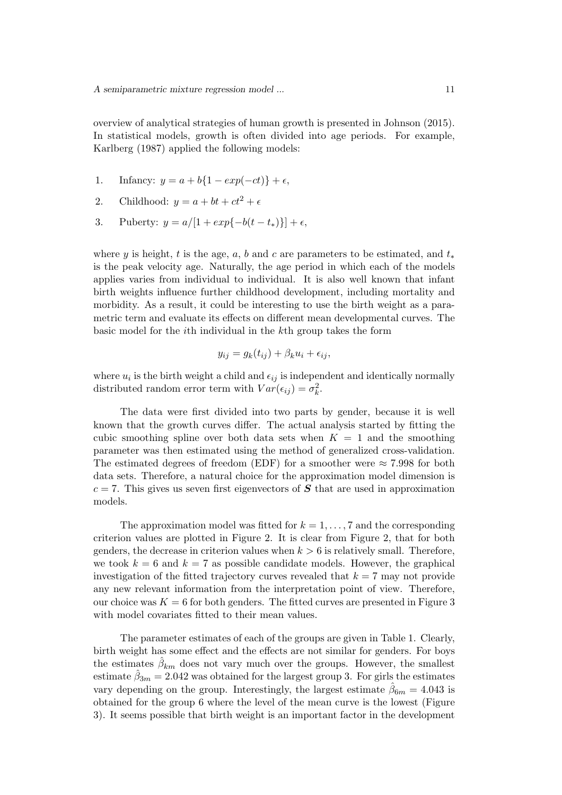overview of analytical strategies of human growth is presented in Johnson (2015). In statistical models, growth is often divided into age periods. For example, Karlberg (1987) applied the following models:

- 1. Infancy:  $y = a + b{1 exp(-ct)} + \epsilon$ ,
- 2. Childhood:  $y = a + bt + ct^2 + \epsilon$
- 3. Puberty:  $y = a/[1 + exp{-b(t t_*)}] + \epsilon$ ,

where y is height, t is the age, a, b and c are parameters to be estimated, and  $t_*$ is the peak velocity age. Naturally, the age period in which each of the models applies varies from individual to individual. It is also well known that infant birth weights influence further childhood development, including mortality and morbidity. As a result, it could be interesting to use the birth weight as a parametric term and evaluate its effects on different mean developmental curves. The basic model for the ith individual in the kth group takes the form

$$
y_{ij} = g_k(t_{ij}) + \beta_k u_i + \epsilon_{ij},
$$

where  $u_i$  is the birth weight a child and  $\epsilon_{ij}$  is independent and identically normally distributed random error term with  $Var(\epsilon_{ij}) = \sigma_k^2$  $\frac{2}{k}$ .

The data were first divided into two parts by gender, because it is well known that the growth curves differ. The actual analysis started by fitting the cubic smoothing spline over both data sets when  $K = 1$  and the smoothing parameter was then estimated using the method of generalized cross-validation. The estimated degrees of freedom (EDF) for a smoother were  $\approx 7.998$  for both data sets. Therefore, a natural choice for the approximation model dimension is  $c = 7$ . This gives us seven first eigenvectors of S that are used in approximation models.

The approximation model was fitted for  $k = 1, \ldots, 7$  and the corresponding criterion values are plotted in Figure 2. It is clear from Figure 2, that for both genders, the decrease in criterion values when  $k > 6$  is relatively small. Therefore, we took  $k = 6$  and  $k = 7$  as possible candidate models. However, the graphical investigation of the fitted trajectory curves revealed that  $k = 7$  may not provide any new relevant information from the interpretation point of view. Therefore, our choice was  $K = 6$  for both genders. The fitted curves are presented in Figure 3 with model covariates fitted to their mean values.

The parameter estimates of each of the groups are given in Table 1. Clearly, birth weight has some effect and the effects are not similar for genders. For boys the estimates  $\hat{\beta}_{km}$  does not vary much over the groups. However, the smallest estimate  $\hat{\beta}_{3m} = 2.042$  was obtained for the largest group 3. For girls the estimates vary depending on the group. Interestingly, the largest estimate  $\hat{\beta}_{6m} = 4.043$  is obtained for the group 6 where the level of the mean curve is the lowest (Figure 3). It seems possible that birth weight is an important factor in the development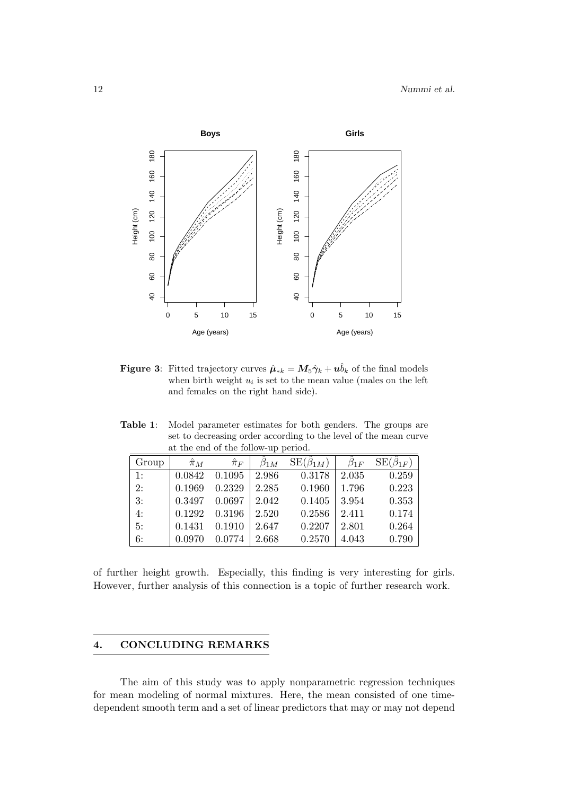

**Figure 3:** Fitted trajectory curves  $\hat{\mu}_{*k} = M_5 \hat{\gamma}_k + u \hat{b}_k$  of the final models when birth weight  $u_i$  is set to the mean value (males on the left and females on the right hand side).

Table 1: Model parameter estimates for both genders. The groups are set to decreasing order according to the level of the mean curve at the end of the follow-up period.

| Group       | $\hat{\pi}_M$ | $\hat{\pi}_F$ | $\beta_{1M}$ | $\text{SE}(\hat{\beta}_{1M})$ | $\hat{\beta}_{1F}$ | $\text{SE}(\hat{\beta}_{1F})$ |
|-------------|---------------|---------------|--------------|-------------------------------|--------------------|-------------------------------|
| $\exists$ : | 0.0842        | 0.1095        | 2.986        | 0.3178                        | 2.035              | 0.259                         |
| 2:          | 0.1969        | 0.2329        | 2.285        | 0.1960                        | 1.796              | 0.223                         |
| 3:          | 0.3497        | 0.0697        | 2.042        | 0.1405                        | 3.954              | 0.353                         |
| 4:          | 0.1292        | 0.3196        | 2.520        | 0.2586                        | 2.411              | 0.174                         |
| 5:          | 0.1431        | 0.1910        | 2.647        | 0.2207                        | 2.801              | 0.264                         |
| 6:          | 0.0970        | 0.0774        | 2.668        | 0.2570                        | 4.043              | 0.790                         |

of further height growth. Especially, this finding is very interesting for girls. However, further analysis of this connection is a topic of further research work.

# 4. CONCLUDING REMARKS

The aim of this study was to apply nonparametric regression techniques for mean modeling of normal mixtures. Here, the mean consisted of one timedependent smooth term and a set of linear predictors that may or may not depend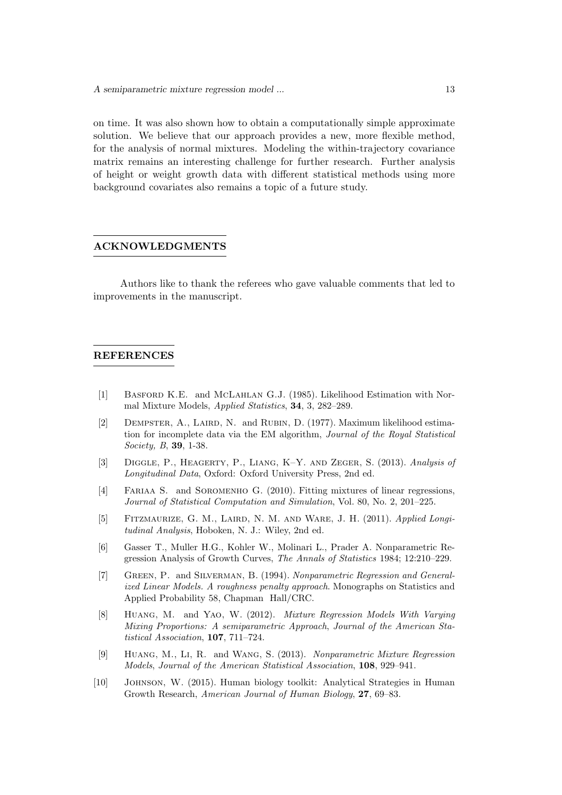on time. It was also shown how to obtain a computationally simple approximate solution. We believe that our approach provides a new, more flexible method, for the analysis of normal mixtures. Modeling the within-trajectory covariance matrix remains an interesting challenge for further research. Further analysis of height or weight growth data with different statistical methods using more background covariates also remains a topic of a future study.

#### ACKNOWLEDGMENTS

Authors like to thank the referees who gave valuable comments that led to improvements in the manuscript.

#### REFERENCES

- [1] Basford K.E. and McLahlan G.J. (1985). Likelihood Estimation with Normal Mixture Models, Applied Statistics, 34, 3, 282–289.
- [2] DEMPSTER, A., LAIRD, N. and RUBIN, D. (1977). Maximum likelihood estimation for incomplete data via the EM algorithm, Journal of the Royal Statistical Society, B, 39, 1-38.
- [3] Diggle, P., Heagerty, P., Liang, K–Y. and Zeger, S. (2013). Analysis of Longitudinal Data, Oxford: Oxford University Press, 2nd ed.
- [4] Fariaa S. and Soromenho G. (2010). Fitting mixtures of linear regressions, Journal of Statistical Computation and Simulation, Vol. 80, No. 2, 201–225.
- [5] FITZMAURIZE, G. M., LAIRD, N. M. AND WARE, J. H. (2011). Applied Longitudinal Analysis, Hoboken, N. J.: Wiley, 2nd ed.
- [6] Gasser T., Muller H.G., Kohler W., Molinari L., Prader A. Nonparametric Regression Analysis of Growth Curves, The Annals of Statistics 1984; 12:210–229.
- [7] Green, P. and Silverman, B. (1994). Nonparametric Regression and Generalized Linear Models. A roughness penalty approach. Monographs on Statistics and Applied Probability 58, Chapman Hall/CRC.
- [8] Huang, M. and Yao, W. (2012). Mixture Regression Models With Varying Mixing Proportions: A semiparametric Approach, Journal of the American Statistical Association, 107, 711–724.
- [9] Huang, M., Li, R. and Wang, S. (2013). Nonparametric Mixture Regression Models, Journal of the American Statistical Association, 108, 929–941.
- [10] Johnson, W. (2015). Human biology toolkit: Analytical Strategies in Human Growth Research, American Journal of Human Biology, 27, 69–83.